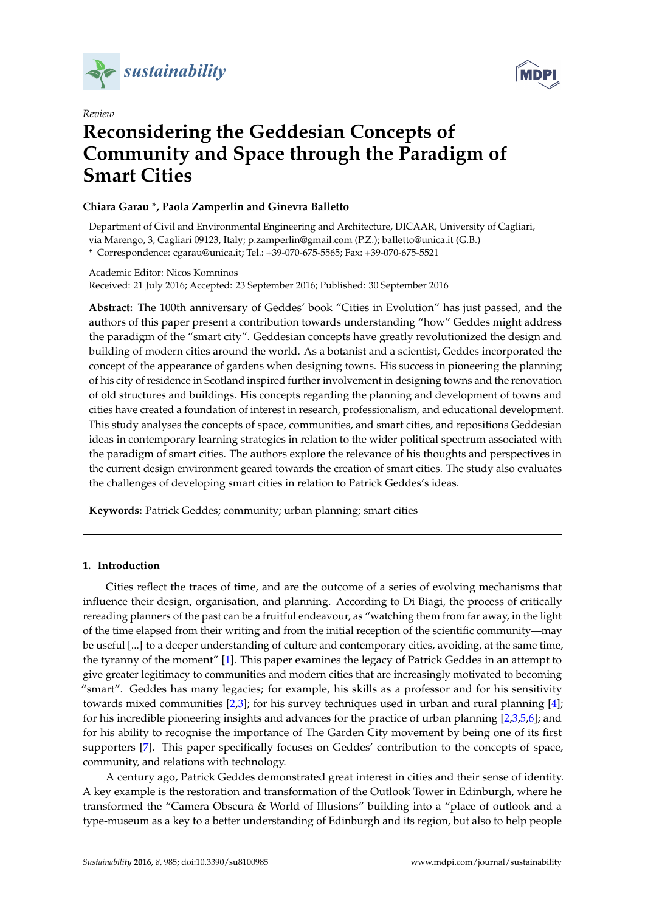



# *Review* **Reconsidering the Geddesian Concepts of Community and Space through the Paradigm of Smart Cities**

# **Chiara Garau \*, Paola Zamperlin and Ginevra Balletto**

Department of Civil and Environmental Engineering and Architecture, DICAAR, University of Cagliari, via Marengo, 3, Cagliari 09123, Italy; p.zamperlin@gmail.com (P.Z.); balletto@unica.it (G.B.) **\*** Correspondence: cgarau@unica.it; Tel.: +39-070-675-5565; Fax: +39-070-675-5521

Academic Editor: Nicos Komninos Received: 21 July 2016; Accepted: 23 September 2016; Published: 30 September 2016

**Abstract:** The 100th anniversary of Geddes' book "Cities in Evolution" has just passed, and the authors of this paper present a contribution towards understanding "how" Geddes might address the paradigm of the "smart city". Geddesian concepts have greatly revolutionized the design and building of modern cities around the world. As a botanist and a scientist, Geddes incorporated the concept of the appearance of gardens when designing towns. His success in pioneering the planning of his city of residence in Scotland inspired further involvement in designing towns and the renovation of old structures and buildings. His concepts regarding the planning and development of towns and cities have created a foundation of interest in research, professionalism, and educational development. This study analyses the concepts of space, communities, and smart cities, and repositions Geddesian ideas in contemporary learning strategies in relation to the wider political spectrum associated with the paradigm of smart cities. The authors explore the relevance of his thoughts and perspectives in the current design environment geared towards the creation of smart cities. The study also evaluates the challenges of developing smart cities in relation to Patrick Geddes's ideas.

**Keywords:** Patrick Geddes; community; urban planning; smart cities

# <span id="page-0-0"></span>**1. Introduction**

Cities reflect the traces of time, and are the outcome of a series of evolving mechanisms that influence their design, organisation, and planning. According to Di Biagi, the process of critically rereading planners of the past can be a fruitful endeavour, as "watching them from far away, in the light of the time elapsed from their writing and from the initial reception of the scientific community—may be useful [...] to a deeper understanding of culture and contemporary cities, avoiding, at the same time, the tyranny of the moment" [\[1\]](#page-11-0). This paper examines the legacy of Patrick Geddes in an attempt to give greater legitimacy to communities and modern cities that are increasingly motivated to becoming "smart". Geddes has many legacies; for example, his skills as a professor and for his sensitivity towards mixed communities [\[2](#page-11-1)[,3\]](#page-11-2); for his survey techniques used in urban and rural planning [\[4\]](#page-11-3); for his incredible pioneering insights and advances for the practice of urban planning [\[2](#page-11-1)[,3,](#page-11-2)[5,](#page-11-4)[6\]](#page-11-5); and for his ability to recognise the importance of The Garden City movement by being one of its first supporters [\[7\]](#page-11-6). This paper specifically focuses on Geddes' contribution to the concepts of space, community, and relations with technology.

A century ago, Patrick Geddes demonstrated great interest in cities and their sense of identity. A key example is the restoration and transformation of the Outlook Tower in Edinburgh, where he transformed the "Camera Obscura & World of Illusions" building into a "place of outlook and a type-museum as a key to a better understanding of Edinburgh and its region, but also to help people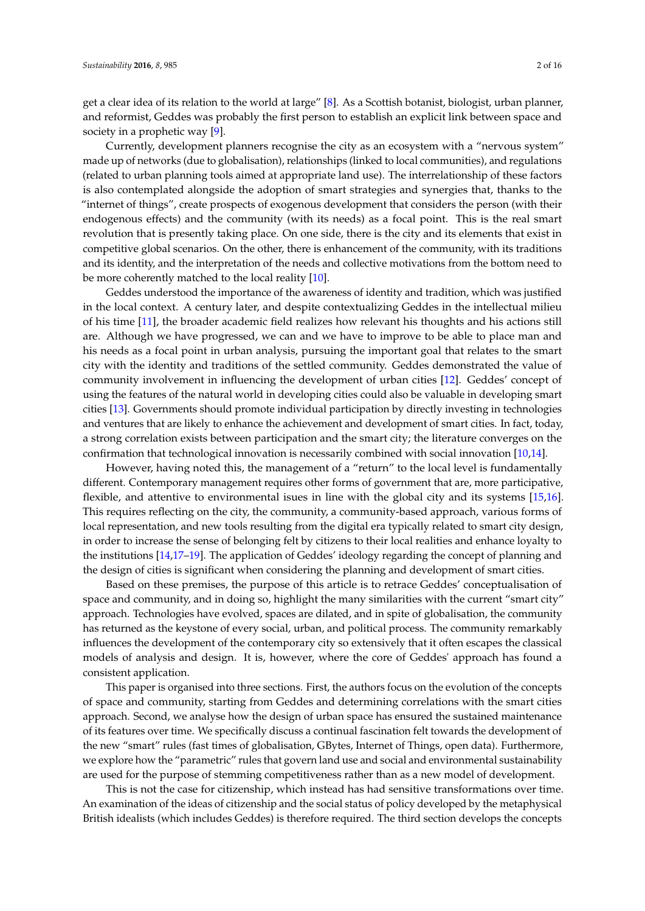get a clear idea of its relation to the world at large" [\[8\]](#page-11-7). As a Scottish botanist, biologist, urban planner, and reformist, Geddes was probably the first person to establish an explicit link between space and society in a prophetic way [\[9\]](#page-11-8).

Currently, development planners recognise the city as an ecosystem with a "nervous system" made up of networks (due to globalisation), relationships (linked to local communities), and regulations (related to urban planning tools aimed at appropriate land use). The interrelationship of these factors is also contemplated alongside the adoption of smart strategies and synergies that, thanks to the "internet of things", create prospects of exogenous development that considers the person (with their endogenous effects) and the community (with its needs) as a focal point. This is the real smart revolution that is presently taking place. On one side, there is the city and its elements that exist in competitive global scenarios. On the other, there is enhancement of the community, with its traditions and its identity, and the interpretation of the needs and collective motivations from the bottom need to be more coherently matched to the local reality [\[10\]](#page-11-9).

Geddes understood the importance of the awareness of identity and tradition, which was justified in the local context. A century later, and despite contextualizing Geddes in the intellectual milieu of his time [\[11\]](#page-11-10), the broader academic field realizes how relevant his thoughts and his actions still are. Although we have progressed, we can and we have to improve to be able to place man and his needs as a focal point in urban analysis, pursuing the important goal that relates to the smart city with the identity and traditions of the settled community. Geddes demonstrated the value of community involvement in influencing the development of urban cities [\[12\]](#page-11-11). Geddes' concept of using the features of the natural world in developing cities could also be valuable in developing smart cities [\[13\]](#page-11-12). Governments should promote individual participation by directly investing in technologies and ventures that are likely to enhance the achievement and development of smart cities. In fact, today, a strong correlation exists between participation and the smart city; the literature converges on the confirmation that technological innovation is necessarily combined with social innovation [\[10,](#page-11-9)[14\]](#page-11-13).

However, having noted this, the management of a "return" to the local level is fundamentally different. Contemporary management requires other forms of government that are, more participative, flexible, and attentive to environmental isues in line with the global city and its systems [\[15,](#page-11-14)[16\]](#page-11-15). This requires reflecting on the city, the community, a community-based approach, various forms of local representation, and new tools resulting from the digital era typically related to smart city design, in order to increase the sense of belonging felt by citizens to their local realities and enhance loyalty to the institutions [\[14](#page-11-13)[,17–](#page-11-16)[19\]](#page-11-17). The application of Geddes' ideology regarding the concept of planning and the design of cities is significant when considering the planning and development of smart cities.

Based on these premises, the purpose of this article is to retrace Geddes' conceptualisation of space and community, and in doing so, highlight the many similarities with the current "smart city" approach. Technologies have evolved, spaces are dilated, and in spite of globalisation, the community has returned as the keystone of every social, urban, and political process. The community remarkably influences the development of the contemporary city so extensively that it often escapes the classical models of analysis and design. It is, however, where the core of Geddes' approach has found a consistent application.

This paper is organised into three sections. First, the authors focus on the evolution of the concepts of space and community, starting from Geddes and determining correlations with the smart cities approach. Second, we analyse how the design of urban space has ensured the sustained maintenance of its features over time. We specifically discuss a continual fascination felt towards the development of the new "smart" rules (fast times of globalisation, GBytes, Internet of Things, open data). Furthermore, we explore how the "parametric" rules that govern land use and social and environmental sustainability are used for the purpose of stemming competitiveness rather than as a new model of development.

This is not the case for citizenship, which instead has had sensitive transformations over time. An examination of the ideas of citizenship and the social status of policy developed by the metaphysical British idealists (which includes Geddes) is therefore required. The third section develops the concepts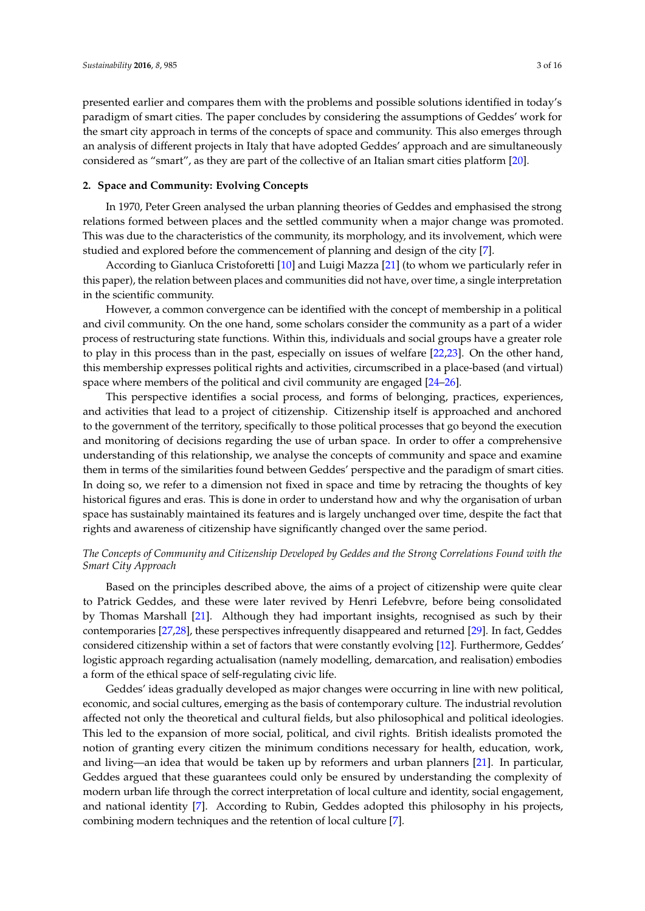presented earlier and compares them with the problems and possible solutions identified in today's paradigm of smart cities. The paper concludes by considering the assumptions of Geddes' work for the smart city approach in terms of the concepts of space and community. This also emerges through an analysis of different projects in Italy that have adopted Geddes' approach and are simultaneously considered as "smart", as they are part of the collective of an Italian smart cities platform [\[20\]](#page-11-18).

## <span id="page-2-0"></span>**2. Space and Community: Evolving Concepts**

In 1970, Peter Green analysed the urban planning theories of Geddes and emphasised the strong relations formed between places and the settled community when a major change was promoted. This was due to the characteristics of the community, its morphology, and its involvement, which were studied and explored before the commencement of planning and design of the city [\[7\]](#page-11-6).

According to Gianluca Cristoforetti [\[10\]](#page-11-9) and Luigi Mazza [\[21\]](#page-11-19) (to whom we particularly refer in this paper), the relation between places and communities did not have, over time, a single interpretation in the scientific community.

However, a common convergence can be identified with the concept of membership in a political and civil community. On the one hand, some scholars consider the community as a part of a wider process of restructuring state functions. Within this, individuals and social groups have a greater role to play in this process than in the past, especially on issues of welfare [\[22,](#page-11-20)[23\]](#page-11-21). On the other hand, this membership expresses political rights and activities, circumscribed in a place-based (and virtual) space where members of the political and civil community are engaged [\[24–](#page-11-22)[26\]](#page-11-23).

This perspective identifies a social process, and forms of belonging, practices, experiences, and activities that lead to a project of citizenship. Citizenship itself is approached and anchored to the government of the territory, specifically to those political processes that go beyond the execution and monitoring of decisions regarding the use of urban space. In order to offer a comprehensive understanding of this relationship, we analyse the concepts of community and space and examine them in terms of the similarities found between Geddes' perspective and the paradigm of smart cities. In doing so, we refer to a dimension not fixed in space and time by retracing the thoughts of key historical figures and eras. This is done in order to understand how and why the organisation of urban space has sustainably maintained its features and is largely unchanged over time, despite the fact that rights and awareness of citizenship have significantly changed over the same period.

## *The Concepts of Community and Citizenship Developed by Geddes and the Strong Correlations Found with the Smart City Approach*

Based on the principles described above, the aims of a project of citizenship were quite clear to Patrick Geddes, and these were later revived by Henri Lefebvre, before being consolidated by Thomas Marshall [\[21\]](#page-11-19). Although they had important insights, recognised as such by their contemporaries [\[27](#page-11-24)[,28\]](#page-11-25), these perspectives infrequently disappeared and returned [\[29\]](#page-11-26). In fact, Geddes considered citizenship within a set of factors that were constantly evolving [\[12\]](#page-11-11). Furthermore, Geddes' logistic approach regarding actualisation (namely modelling, demarcation, and realisation) embodies a form of the ethical space of self-regulating civic life.

Geddes' ideas gradually developed as major changes were occurring in line with new political, economic, and social cultures, emerging as the basis of contemporary culture. The industrial revolution affected not only the theoretical and cultural fields, but also philosophical and political ideologies. This led to the expansion of more social, political, and civil rights. British idealists promoted the notion of granting every citizen the minimum conditions necessary for health, education, work, and living—an idea that would be taken up by reformers and urban planners [\[21\]](#page-11-19). In particular, Geddes argued that these guarantees could only be ensured by understanding the complexity of modern urban life through the correct interpretation of local culture and identity, social engagement, and national identity [\[7\]](#page-11-6). According to Rubin, Geddes adopted this philosophy in his projects, combining modern techniques and the retention of local culture [\[7\]](#page-11-6).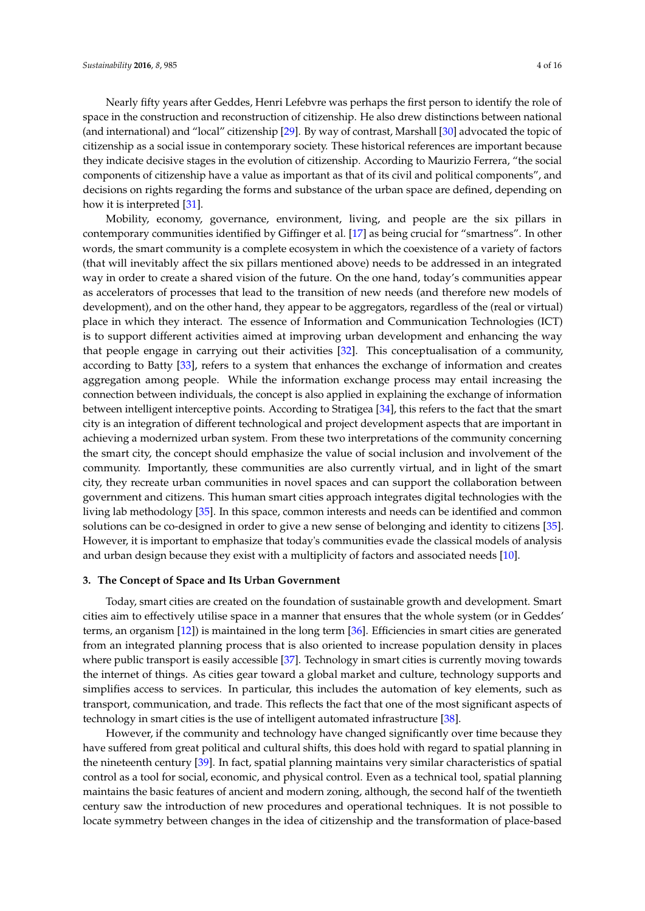Nearly fifty years after Geddes, Henri Lefebvre was perhaps the first person to identify the role of space in the construction and reconstruction of citizenship. He also drew distinctions between national (and international) and "local" citizenship [\[29\]](#page-11-26). By way of contrast, Marshall [\[30\]](#page-12-0) advocated the topic of citizenship as a social issue in contemporary society. These historical references are important because they indicate decisive stages in the evolution of citizenship. According to Maurizio Ferrera, "the social components of citizenship have a value as important as that of its civil and political components", and decisions on rights regarding the forms and substance of the urban space are defined, depending on how it is interpreted [\[31\]](#page-12-1).

Mobility, economy, governance, environment, living, and people are the six pillars in contemporary communities identified by Giffinger et al. [\[17\]](#page-11-16) as being crucial for "smartness". In other words, the smart community is a complete ecosystem in which the coexistence of a variety of factors (that will inevitably affect the six pillars mentioned above) needs to be addressed in an integrated way in order to create a shared vision of the future. On the one hand, today's communities appear as accelerators of processes that lead to the transition of new needs (and therefore new models of development), and on the other hand, they appear to be aggregators, regardless of the (real or virtual) place in which they interact. The essence of Information and Communication Technologies (ICT) is to support different activities aimed at improving urban development and enhancing the way that people engage in carrying out their activities [\[32\]](#page-12-2). This conceptualisation of a community, according to Batty [\[33\]](#page-12-3), refers to a system that enhances the exchange of information and creates aggregation among people. While the information exchange process may entail increasing the connection between individuals, the concept is also applied in explaining the exchange of information between intelligent interceptive points. According to Stratigea [\[34\]](#page-12-4), this refers to the fact that the smart city is an integration of different technological and project development aspects that are important in achieving a modernized urban system. From these two interpretations of the community concerning the smart city, the concept should emphasize the value of social inclusion and involvement of the community. Importantly, these communities are also currently virtual, and in light of the smart city, they recreate urban communities in novel spaces and can support the collaboration between government and citizens. This human smart cities approach integrates digital technologies with the living lab methodology [\[35\]](#page-12-5). In this space, common interests and needs can be identified and common solutions can be co-designed in order to give a new sense of belonging and identity to citizens [\[35\]](#page-12-5). However, it is important to emphasize that today's communities evade the classical models of analysis and urban design because they exist with a multiplicity of factors and associated needs [\[10\]](#page-11-9).

#### <span id="page-3-0"></span>**3. The Concept of Space and Its Urban Government**

Today, smart cities are created on the foundation of sustainable growth and development. Smart cities aim to effectively utilise space in a manner that ensures that the whole system (or in Geddes' terms, an organism [\[12\]](#page-11-11)) is maintained in the long term [\[36\]](#page-12-6). Efficiencies in smart cities are generated from an integrated planning process that is also oriented to increase population density in places where public transport is easily accessible [\[37\]](#page-12-7). Technology in smart cities is currently moving towards the internet of things. As cities gear toward a global market and culture, technology supports and simplifies access to services. In particular, this includes the automation of key elements, such as transport, communication, and trade. This reflects the fact that one of the most significant aspects of technology in smart cities is the use of intelligent automated infrastructure [\[38\]](#page-12-8).

However, if the community and technology have changed significantly over time because they have suffered from great political and cultural shifts, this does hold with regard to spatial planning in the nineteenth century [\[39\]](#page-12-9). In fact, spatial planning maintains very similar characteristics of spatial control as a tool for social, economic, and physical control. Even as a technical tool, spatial planning maintains the basic features of ancient and modern zoning, although, the second half of the twentieth century saw the introduction of new procedures and operational techniques. It is not possible to locate symmetry between changes in the idea of citizenship and the transformation of place-based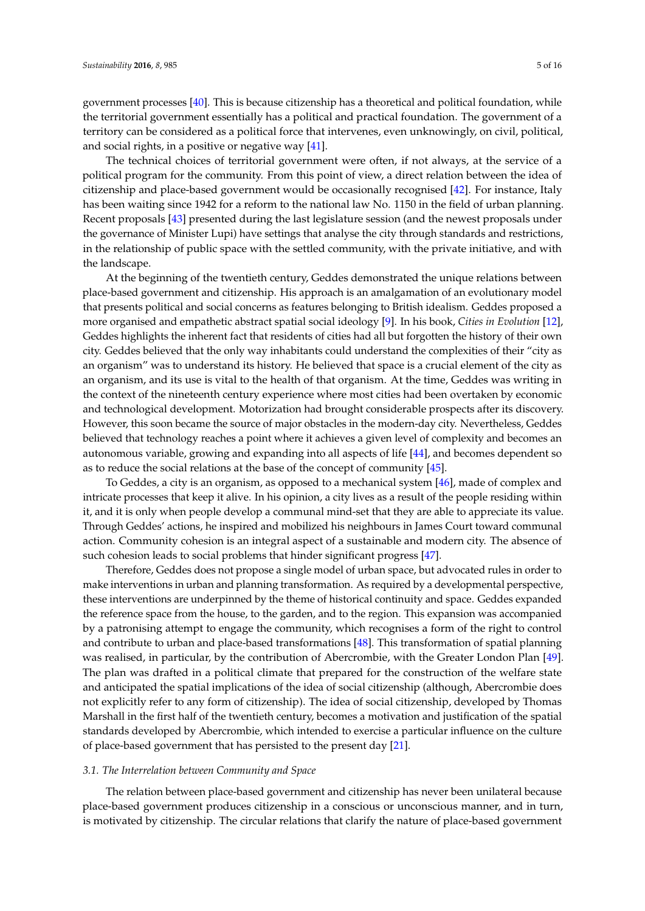government processes [\[40\]](#page-12-10). This is because citizenship has a theoretical and political foundation, while the territorial government essentially has a political and practical foundation. The government of a territory can be considered as a political force that intervenes, even unknowingly, on civil, political, and social rights, in a positive or negative way [\[41\]](#page-12-11).

The technical choices of territorial government were often, if not always, at the service of a political program for the community. From this point of view, a direct relation between the idea of citizenship and place-based government would be occasionally recognised [\[42\]](#page-12-12). For instance, Italy has been waiting since 1942 for a reform to the national law No. 1150 in the field of urban planning. Recent proposals [\[43\]](#page-12-13) presented during the last legislature session (and the newest proposals under the governance of Minister Lupi) have settings that analyse the city through standards and restrictions, in the relationship of public space with the settled community, with the private initiative, and with the landscape.

At the beginning of the twentieth century, Geddes demonstrated the unique relations between place-based government and citizenship. His approach is an amalgamation of an evolutionary model that presents political and social concerns as features belonging to British idealism. Geddes proposed a more organised and empathetic abstract spatial social ideology [\[9\]](#page-11-8). In his book, *Cities in Evolution* [\[12\]](#page-11-11), Geddes highlights the inherent fact that residents of cities had all but forgotten the history of their own city. Geddes believed that the only way inhabitants could understand the complexities of their "city as an organism" was to understand its history. He believed that space is a crucial element of the city as an organism, and its use is vital to the health of that organism. At the time, Geddes was writing in the context of the nineteenth century experience where most cities had been overtaken by economic and technological development. Motorization had brought considerable prospects after its discovery. However, this soon became the source of major obstacles in the modern-day city. Nevertheless, Geddes believed that technology reaches a point where it achieves a given level of complexity and becomes an autonomous variable, growing and expanding into all aspects of life [\[44\]](#page-12-14), and becomes dependent so as to reduce the social relations at the base of the concept of community [\[45\]](#page-12-15).

To Geddes, a city is an organism, as opposed to a mechanical system [\[46\]](#page-12-16), made of complex and intricate processes that keep it alive. In his opinion, a city lives as a result of the people residing within it, and it is only when people develop a communal mind-set that they are able to appreciate its value. Through Geddes' actions, he inspired and mobilized his neighbours in James Court toward communal action. Community cohesion is an integral aspect of a sustainable and modern city. The absence of such cohesion leads to social problems that hinder significant progress [\[47\]](#page-12-17).

Therefore, Geddes does not propose a single model of urban space, but advocated rules in order to make interventions in urban and planning transformation. As required by a developmental perspective, these interventions are underpinned by the theme of historical continuity and space. Geddes expanded the reference space from the house, to the garden, and to the region. This expansion was accompanied by a patronising attempt to engage the community, which recognises a form of the right to control and contribute to urban and place-based transformations [\[48\]](#page-12-18). This transformation of spatial planning was realised, in particular, by the contribution of Abercrombie, with the Greater London Plan [\[49\]](#page-12-19). The plan was drafted in a political climate that prepared for the construction of the welfare state and anticipated the spatial implications of the idea of social citizenship (although, Abercrombie does not explicitly refer to any form of citizenship). The idea of social citizenship, developed by Thomas Marshall in the first half of the twentieth century, becomes a motivation and justification of the spatial standards developed by Abercrombie, which intended to exercise a particular influence on the culture of place-based government that has persisted to the present day [\[21\]](#page-11-19).

#### <span id="page-4-0"></span>*3.1. The Interrelation between Community and Space*

The relation between place-based government and citizenship has never been unilateral because place-based government produces citizenship in a conscious or unconscious manner, and in turn, is motivated by citizenship. The circular relations that clarify the nature of place-based government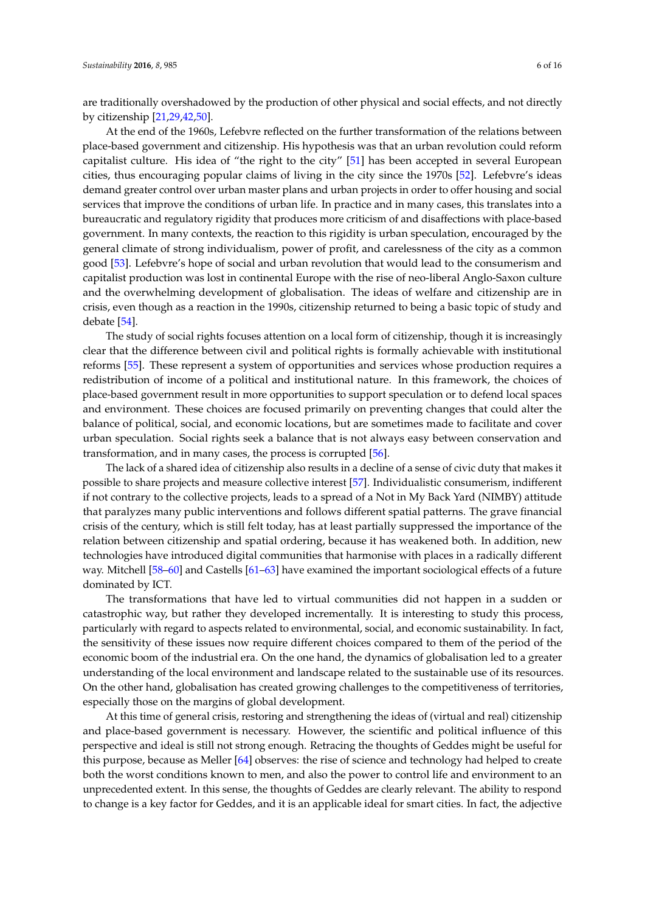are traditionally overshadowed by the production of other physical and social effects, and not directly by citizenship [\[21](#page-11-19)[,29,](#page-11-26)[42](#page-12-12)[,50\]](#page-12-20).

At the end of the 1960s, Lefebvre reflected on the further transformation of the relations between place-based government and citizenship. His hypothesis was that an urban revolution could reform capitalist culture. His idea of "the right to the city" [\[51\]](#page-12-21) has been accepted in several European cities, thus encouraging popular claims of living in the city since the 1970s [\[52\]](#page-12-22). Lefebvre's ideas demand greater control over urban master plans and urban projects in order to offer housing and social services that improve the conditions of urban life. In practice and in many cases, this translates into a bureaucratic and regulatory rigidity that produces more criticism of and disaffections with place-based government. In many contexts, the reaction to this rigidity is urban speculation, encouraged by the general climate of strong individualism, power of profit, and carelessness of the city as a common good [\[53\]](#page-12-23). Lefebvre's hope of social and urban revolution that would lead to the consumerism and capitalist production was lost in continental Europe with the rise of neo-liberal Anglo-Saxon culture and the overwhelming development of globalisation. The ideas of welfare and citizenship are in crisis, even though as a reaction in the 1990s, citizenship returned to being a basic topic of study and debate [\[54\]](#page-12-24).

The study of social rights focuses attention on a local form of citizenship, though it is increasingly clear that the difference between civil and political rights is formally achievable with institutional reforms [\[55\]](#page-12-25). These represent a system of opportunities and services whose production requires a redistribution of income of a political and institutional nature. In this framework, the choices of place-based government result in more opportunities to support speculation or to defend local spaces and environment. These choices are focused primarily on preventing changes that could alter the balance of political, social, and economic locations, but are sometimes made to facilitate and cover urban speculation. Social rights seek a balance that is not always easy between conservation and transformation, and in many cases, the process is corrupted [\[56\]](#page-12-26).

The lack of a shared idea of citizenship also results in a decline of a sense of civic duty that makes it possible to share projects and measure collective interest [\[57\]](#page-13-0). Individualistic consumerism, indifferent if not contrary to the collective projects, leads to a spread of a Not in My Back Yard (NIMBY) attitude that paralyzes many public interventions and follows different spatial patterns. The grave financial crisis of the century, which is still felt today, has at least partially suppressed the importance of the relation between citizenship and spatial ordering, because it has weakened both. In addition, new technologies have introduced digital communities that harmonise with places in a radically different way. Mitchell [\[58](#page-13-1)[–60\]](#page-13-2) and Castells [\[61](#page-13-3)[–63\]](#page-13-4) have examined the important sociological effects of a future dominated by ICT.

The transformations that have led to virtual communities did not happen in a sudden or catastrophic way, but rather they developed incrementally. It is interesting to study this process, particularly with regard to aspects related to environmental, social, and economic sustainability. In fact, the sensitivity of these issues now require different choices compared to them of the period of the economic boom of the industrial era. On the one hand, the dynamics of globalisation led to a greater understanding of the local environment and landscape related to the sustainable use of its resources. On the other hand, globalisation has created growing challenges to the competitiveness of territories, especially those on the margins of global development.

At this time of general crisis, restoring and strengthening the ideas of (virtual and real) citizenship and place-based government is necessary. However, the scientific and political influence of this perspective and ideal is still not strong enough. Retracing the thoughts of Geddes might be useful for this purpose, because as Meller [\[64\]](#page-13-5) observes: the rise of science and technology had helped to create both the worst conditions known to men, and also the power to control life and environment to an unprecedented extent. In this sense, the thoughts of Geddes are clearly relevant. The ability to respond to change is a key factor for Geddes, and it is an applicable ideal for smart cities. In fact, the adjective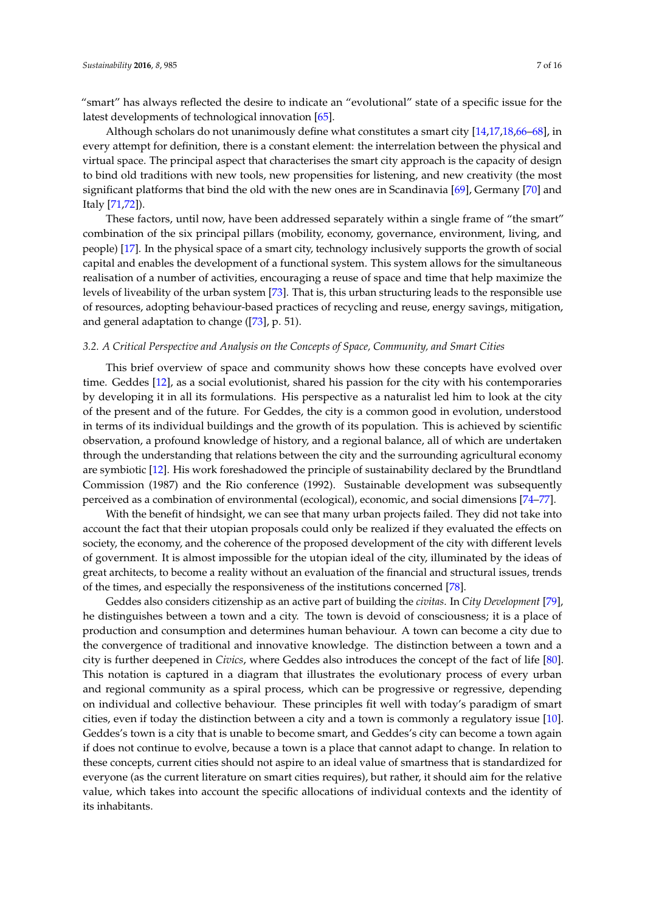"smart" has always reflected the desire to indicate an "evolutional" state of a specific issue for the latest developments of technological innovation [\[65\]](#page-13-6).

Although scholars do not unanimously define what constitutes a smart city [\[14,](#page-11-13)[17,](#page-11-16)[18,](#page-11-27)[66–](#page-13-7)[68\]](#page-13-8), in every attempt for definition, there is a constant element: the interrelation between the physical and virtual space. The principal aspect that characterises the smart city approach is the capacity of design to bind old traditions with new tools, new propensities for listening, and new creativity (the most significant platforms that bind the old with the new ones are in Scandinavia [\[69\]](#page-13-9), Germany [\[70\]](#page-13-10) and Italy [\[71](#page-13-11)[,72\]](#page-13-12)).

These factors, until now, have been addressed separately within a single frame of "the smart" combination of the six principal pillars (mobility, economy, governance, environment, living, and people) [\[17\]](#page-11-16). In the physical space of a smart city, technology inclusively supports the growth of social capital and enables the development of a functional system. This system allows for the simultaneous realisation of a number of activities, encouraging a reuse of space and time that help maximize the levels of liveability of the urban system [\[73\]](#page-13-13). That is, this urban structuring leads to the responsible use of resources, adopting behaviour-based practices of recycling and reuse, energy savings, mitigation, and general adaptation to change ([\[73\]](#page-13-13), p. 51).

## <span id="page-6-0"></span>*3.2. A Critical Perspective and Analysis on the Concepts of Space, Community, and Smart Cities*

This brief overview of space and community shows how these concepts have evolved over time. Geddes [\[12\]](#page-11-11), as a social evolutionist, shared his passion for the city with his contemporaries by developing it in all its formulations. His perspective as a naturalist led him to look at the city of the present and of the future. For Geddes, the city is a common good in evolution, understood in terms of its individual buildings and the growth of its population. This is achieved by scientific observation, a profound knowledge of history, and a regional balance, all of which are undertaken through the understanding that relations between the city and the surrounding agricultural economy are symbiotic [\[12\]](#page-11-11). His work foreshadowed the principle of sustainability declared by the Brundtland Commission (1987) and the Rio conference (1992). Sustainable development was subsequently perceived as a combination of environmental (ecological), economic, and social dimensions [\[74–](#page-13-14)[77\]](#page-13-15).

With the benefit of hindsight, we can see that many urban projects failed. They did not take into account the fact that their utopian proposals could only be realized if they evaluated the effects on society, the economy, and the coherence of the proposed development of the city with different levels of government. It is almost impossible for the utopian ideal of the city, illuminated by the ideas of great architects, to become a reality without an evaluation of the financial and structural issues, trends of the times, and especially the responsiveness of the institutions concerned [\[78\]](#page-13-16).

Geddes also considers citizenship as an active part of building the *civitas*. In *City Development* [\[79\]](#page-13-17), he distinguishes between a town and a city. The town is devoid of consciousness; it is a place of production and consumption and determines human behaviour. A town can become a city due to the convergence of traditional and innovative knowledge. The distinction between a town and a city is further deepened in *Civics*, where Geddes also introduces the concept of the fact of life [\[80\]](#page-13-18). This notation is captured in a diagram that illustrates the evolutionary process of every urban and regional community as a spiral process, which can be progressive or regressive, depending on individual and collective behaviour. These principles fit well with today's paradigm of smart cities, even if today the distinction between a city and a town is commonly a regulatory issue [\[10\]](#page-11-9). Geddes's town is a city that is unable to become smart, and Geddes's city can become a town again if does not continue to evolve, because a town is a place that cannot adapt to change. In relation to these concepts, current cities should not aspire to an ideal value of smartness that is standardized for everyone (as the current literature on smart cities requires), but rather, it should aim for the relative value, which takes into account the specific allocations of individual contexts and the identity of its inhabitants.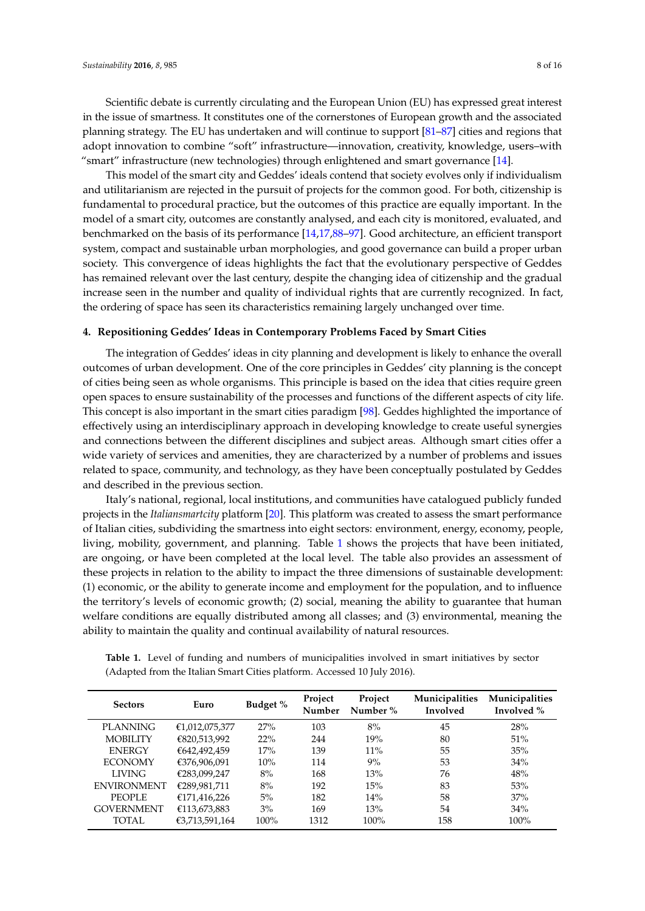Scientific debate is currently circulating and the European Union (EU) has expressed great interest in the issue of smartness. It constitutes one of the cornerstones of European growth and the associated planning strategy. The EU has undertaken and will continue to support [\[81–](#page-13-19)[87\]](#page-14-0) cities and regions that adopt innovation to combine "soft" infrastructure—innovation, creativity, knowledge, users–with "smart" infrastructure (new technologies) through enlightened and smart governance [\[14\]](#page-11-13).

This model of the smart city and Geddes' ideals contend that society evolves only if individualism and utilitarianism are rejected in the pursuit of projects for the common good. For both, citizenship is fundamental to procedural practice, but the outcomes of this practice are equally important. In the model of a smart city, outcomes are constantly analysed, and each city is monitored, evaluated, and benchmarked on the basis of its performance [\[14,](#page-11-13)[17,](#page-11-16)[88](#page-14-1)[–97\]](#page-14-2). Good architecture, an efficient transport system, compact and sustainable urban morphologies, and good governance can build a proper urban society. This convergence of ideas highlights the fact that the evolutionary perspective of Geddes has remained relevant over the last century, despite the changing idea of citizenship and the gradual increase seen in the number and quality of individual rights that are currently recognized. In fact, the ordering of space has seen its characteristics remaining largely unchanged over time.

#### <span id="page-7-1"></span>**4. Repositioning Geddes' Ideas in Contemporary Problems Faced by Smart Cities**

The integration of Geddes' ideas in city planning and development is likely to enhance the overall outcomes of urban development. One of the core principles in Geddes' city planning is the concept of cities being seen as whole organisms. This principle is based on the idea that cities require green open spaces to ensure sustainability of the processes and functions of the different aspects of city life. This concept is also important in the smart cities paradigm [\[98\]](#page-14-3). Geddes highlighted the importance of effectively using an interdisciplinary approach in developing knowledge to create useful synergies and connections between the different disciplines and subject areas. Although smart cities offer a wide variety of services and amenities, they are characterized by a number of problems and issues related to space, community, and technology, as they have been conceptually postulated by Geddes and described in the previous section.

Italy's national, regional, local institutions, and communities have catalogued publicly funded projects in the *Italiansmartcity* platform [\[20\]](#page-11-18). This platform was created to assess the smart performance of Italian cities, subdividing the smartness into eight sectors: environment, energy, economy, people, living, mobility, government, and planning. Table [1](#page-7-0) shows the projects that have been initiated, are ongoing, or have been completed at the local level. The table also provides an assessment of these projects in relation to the ability to impact the three dimensions of sustainable development: (1) economic, or the ability to generate income and employment for the population, and to influence the territory's levels of economic growth; (2) social, meaning the ability to guarantee that human welfare conditions are equally distributed among all classes; and (3) environmental, meaning the ability to maintain the quality and continual availability of natural resources.

<span id="page-7-0"></span>

| Table 1. Level of funding and numbers of municipalities involved in smart initiatives by sector |
|-------------------------------------------------------------------------------------------------|
| (Adapted from the Italian Smart Cities platform. Accessed 10 July 2016).                        |
|                                                                                                 |

| <b>Sectors</b>     | Euro           | Budget % | Project<br><b>Number</b> | Project<br>Number % | Municipalities<br>Involved | <b>Municipalities</b><br>Involved % |
|--------------------|----------------|----------|--------------------------|---------------------|----------------------------|-------------------------------------|
| <b>PLANNING</b>    | €1,012,075,377 | 27%      | 103                      | 8%                  | 45                         | 28%                                 |
| <b>MOBILITY</b>    | €820,513,992   | 22%      | 244                      | 19%                 | 80                         | 51%                                 |
| <b>ENERGY</b>      | €642.492.459   | 17%      | 139                      | $11\%$              | 55                         | 35%                                 |
| <b>ECONOMY</b>     | €376,906,091   | 10%      | 114                      | $9\%$               | 53                         | 34%                                 |
| <b>LIVING</b>      | €283,099,247   | 8%       | 168                      | 13%                 | 76                         | 48%                                 |
| <b>ENVIRONMENT</b> | €289,981,711   | 8%       | 192                      | 15%                 | 83                         | 53%                                 |
| PEOPLE             | €171,416,226   | 5%       | 182                      | 14%                 | 58                         | 37%                                 |
| <b>GOVERNMENT</b>  | €113,673,883   | 3%       | 169                      | 13%                 | 54                         | 34%                                 |
| TOTAL              | €3,713,591,164 | 100%     | 1312                     | $100\%$             | 158                        | $100\%$                             |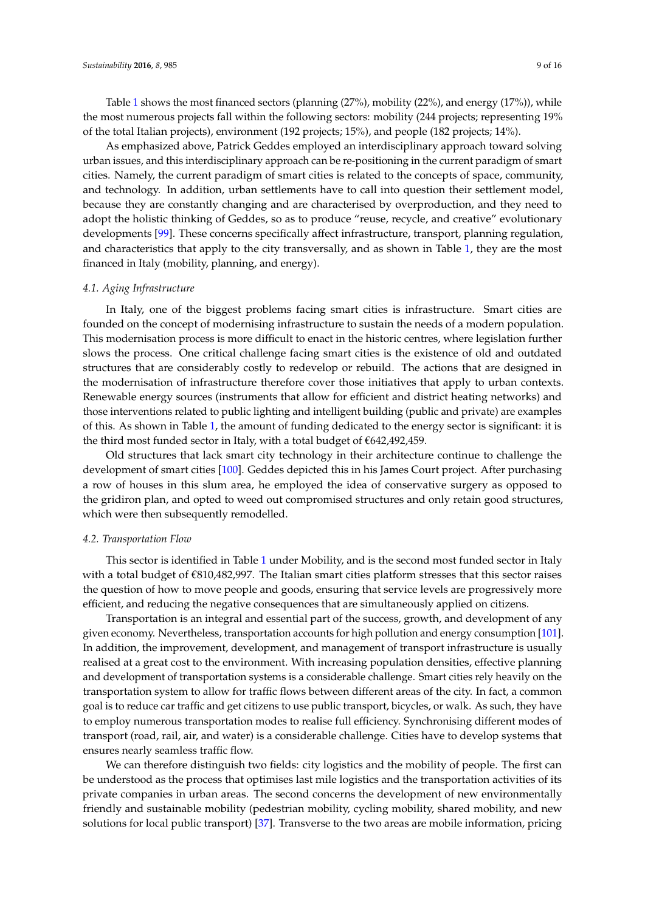Table [1](#page-7-0) shows the most financed sectors (planning (27%), mobility (22%), and energy (17%)), while the most numerous projects fall within the following sectors: mobility (244 projects; representing 19% of the total Italian projects), environment (192 projects; 15%), and people (182 projects; 14%).

As emphasized above, Patrick Geddes employed an interdisciplinary approach toward solving urban issues, and this interdisciplinary approach can be re-positioning in the current paradigm of smart cities. Namely, the current paradigm of smart cities is related to the concepts of space, community, and technology. In addition, urban settlements have to call into question their settlement model, because they are constantly changing and are characterised by overproduction, and they need to adopt the holistic thinking of Geddes, so as to produce "reuse, recycle, and creative" evolutionary developments [\[99\]](#page-14-4). These concerns specifically affect infrastructure, transport, planning regulation, and characteristics that apply to the city transversally, and as shown in Table [1,](#page-7-0) they are the most financed in Italy (mobility, planning, and energy).

## *4.1. Aging Infrastructure*

In Italy, one of the biggest problems facing smart cities is infrastructure. Smart cities are founded on the concept of modernising infrastructure to sustain the needs of a modern population. This modernisation process is more difficult to enact in the historic centres, where legislation further slows the process. One critical challenge facing smart cities is the existence of old and outdated structures that are considerably costly to redevelop or rebuild. The actions that are designed in the modernisation of infrastructure therefore cover those initiatives that apply to urban contexts. Renewable energy sources (instruments that allow for efficient and district heating networks) and those interventions related to public lighting and intelligent building (public and private) are examples of this. As shown in Table [1,](#page-7-0) the amount of funding dedicated to the energy sector is significant: it is the third most funded sector in Italy, with a total budget of €642,492,459.

Old structures that lack smart city technology in their architecture continue to challenge the development of smart cities [\[100\]](#page-14-5). Geddes depicted this in his James Court project. After purchasing a row of houses in this slum area, he employed the idea of conservative surgery as opposed to the gridiron plan, and opted to weed out compromised structures and only retain good structures, which were then subsequently remodelled.

#### *4.2. Transportation Flow*

This sector is identified in Table [1](#page-7-0) under Mobility, and is the second most funded sector in Italy with a total budget of €810,482,997. The Italian smart cities platform stresses that this sector raises the question of how to move people and goods, ensuring that service levels are progressively more efficient, and reducing the negative consequences that are simultaneously applied on citizens.

Transportation is an integral and essential part of the success, growth, and development of any given economy. Nevertheless, transportation accounts for high pollution and energy consumption [\[101\]](#page-14-6). In addition, the improvement, development, and management of transport infrastructure is usually realised at a great cost to the environment. With increasing population densities, effective planning and development of transportation systems is a considerable challenge. Smart cities rely heavily on the transportation system to allow for traffic flows between different areas of the city. In fact, a common goal is to reduce car traffic and get citizens to use public transport, bicycles, or walk. As such, they have to employ numerous transportation modes to realise full efficiency. Synchronising different modes of transport (road, rail, air, and water) is a considerable challenge. Cities have to develop systems that ensures nearly seamless traffic flow.

We can therefore distinguish two fields: city logistics and the mobility of people. The first can be understood as the process that optimises last mile logistics and the transportation activities of its private companies in urban areas. The second concerns the development of new environmentally friendly and sustainable mobility (pedestrian mobility, cycling mobility, shared mobility, and new solutions for local public transport) [\[37\]](#page-12-7). Transverse to the two areas are mobile information, pricing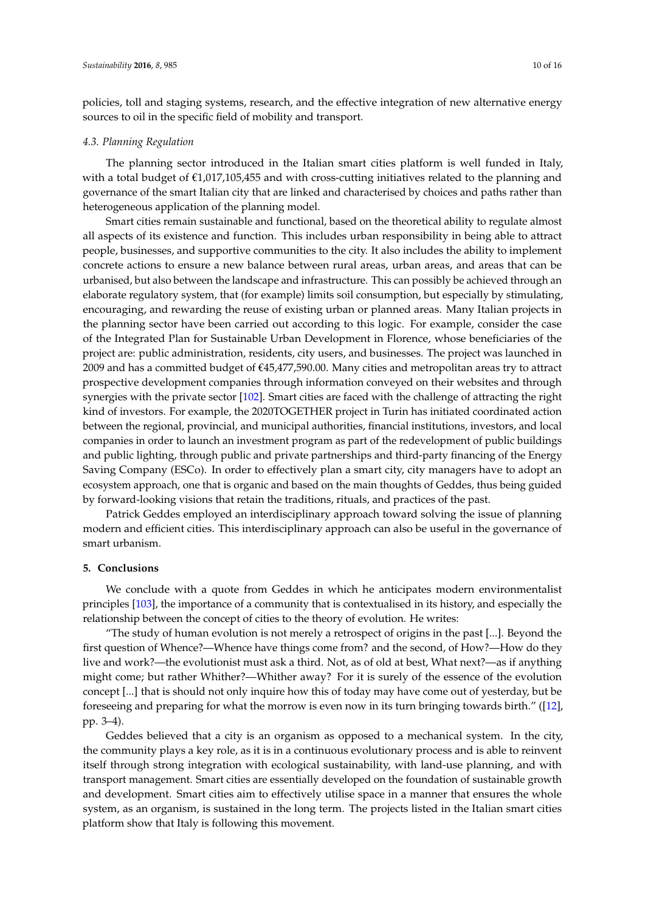policies, toll and staging systems, research, and the effective integration of new alternative energy sources to oil in the specific field of mobility and transport.

#### *4.3. Planning Regulation*

The planning sector introduced in the Italian smart cities platform is well funded in Italy, with a total budget of  $\epsilon$ 1,017,105,455 and with cross-cutting initiatives related to the planning and governance of the smart Italian city that are linked and characterised by choices and paths rather than heterogeneous application of the planning model.

Smart cities remain sustainable and functional, based on the theoretical ability to regulate almost all aspects of its existence and function. This includes urban responsibility in being able to attract people, businesses, and supportive communities to the city. It also includes the ability to implement concrete actions to ensure a new balance between rural areas, urban areas, and areas that can be urbanised, but also between the landscape and infrastructure. This can possibly be achieved through an elaborate regulatory system, that (for example) limits soil consumption, but especially by stimulating, encouraging, and rewarding the reuse of existing urban or planned areas. Many Italian projects in the planning sector have been carried out according to this logic. For example, consider the case of the Integrated Plan for Sustainable Urban Development in Florence, whose beneficiaries of the project are: public administration, residents, city users, and businesses. The project was launched in 2009 and has a committed budget of €45,477,590.00. Many cities and metropolitan areas try to attract prospective development companies through information conveyed on their websites and through synergies with the private sector [\[102\]](#page-14-7). Smart cities are faced with the challenge of attracting the right kind of investors. For example, the 2020TOGETHER project in Turin has initiated coordinated action between the regional, provincial, and municipal authorities, financial institutions, investors, and local companies in order to launch an investment program as part of the redevelopment of public buildings and public lighting, through public and private partnerships and third-party financing of the Energy Saving Company (ESCo). In order to effectively plan a smart city, city managers have to adopt an ecosystem approach, one that is organic and based on the main thoughts of Geddes, thus being guided by forward-looking visions that retain the traditions, rituals, and practices of the past.

Patrick Geddes employed an interdisciplinary approach toward solving the issue of planning modern and efficient cities. This interdisciplinary approach can also be useful in the governance of smart urbanism.

## <span id="page-9-0"></span>**5. Conclusions**

We conclude with a quote from Geddes in which he anticipates modern environmentalist principles [\[103\]](#page-14-8), the importance of a community that is contextualised in its history, and especially the relationship between the concept of cities to the theory of evolution. He writes:

"The study of human evolution is not merely a retrospect of origins in the past [...]. Beyond the first question of Whence?—Whence have things come from? and the second, of How?—How do they live and work?—the evolutionist must ask a third. Not, as of old at best, What next?—as if anything might come; but rather Whither?—Whither away? For it is surely of the essence of the evolution concept [...] that is should not only inquire how this of today may have come out of yesterday, but be foreseeing and preparing for what the morrow is even now in its turn bringing towards birth." ([\[12\]](#page-11-11), pp. 3–4).

Geddes believed that a city is an organism as opposed to a mechanical system. In the city, the community plays a key role, as it is in a continuous evolutionary process and is able to reinvent itself through strong integration with ecological sustainability, with land-use planning, and with transport management. Smart cities are essentially developed on the foundation of sustainable growth and development. Smart cities aim to effectively utilise space in a manner that ensures the whole system, as an organism, is sustained in the long term. The projects listed in the Italian smart cities platform show that Italy is following this movement.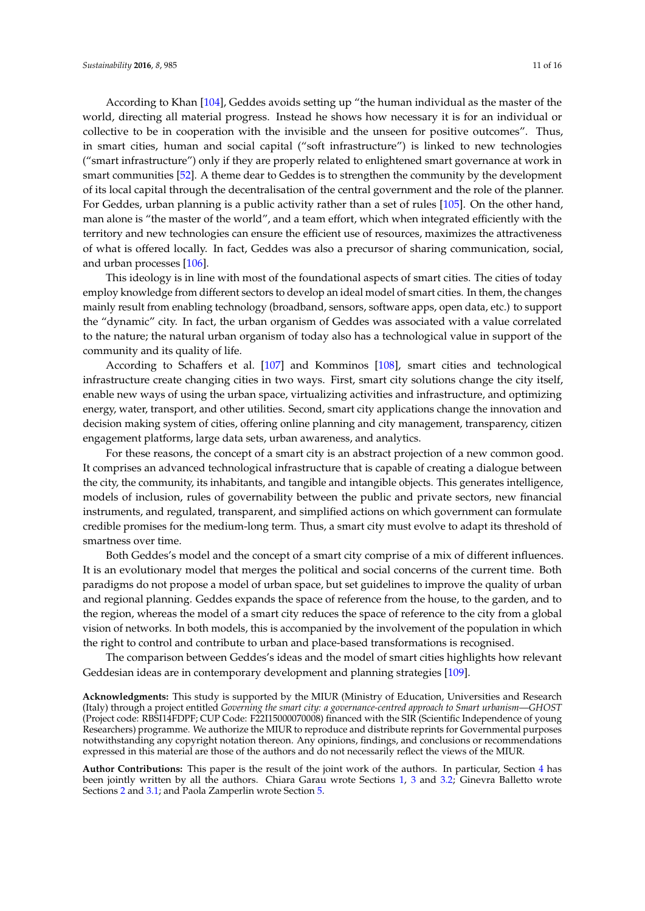According to Khan [\[104\]](#page-15-0), Geddes avoids setting up "the human individual as the master of the world, directing all material progress. Instead he shows how necessary it is for an individual or collective to be in cooperation with the invisible and the unseen for positive outcomes". Thus, in smart cities, human and social capital ("soft infrastructure") is linked to new technologies ("smart infrastructure") only if they are properly related to enlightened smart governance at work in smart communities [\[52\]](#page-12-22). A theme dear to Geddes is to strengthen the community by the development of its local capital through the decentralisation of the central government and the role of the planner. For Geddes, urban planning is a public activity rather than a set of rules [\[105\]](#page-15-1). On the other hand, man alone is "the master of the world", and a team effort, which when integrated efficiently with the territory and new technologies can ensure the efficient use of resources, maximizes the attractiveness of what is offered locally. In fact, Geddes was also a precursor of sharing communication, social, and urban processes [\[106\]](#page-15-2).

This ideology is in line with most of the foundational aspects of smart cities. The cities of today employ knowledge from different sectors to develop an ideal model of smart cities. In them, the changes mainly result from enabling technology (broadband, sensors, software apps, open data, etc.) to support the "dynamic" city. In fact, the urban organism of Geddes was associated with a value correlated to the nature; the natural urban organism of today also has a technological value in support of the community and its quality of life.

According to Schaffers et al. [\[107\]](#page-15-3) and Komminos [\[108\]](#page-15-4), smart cities and technological infrastructure create changing cities in two ways. First, smart city solutions change the city itself, enable new ways of using the urban space, virtualizing activities and infrastructure, and optimizing energy, water, transport, and other utilities. Second, smart city applications change the innovation and decision making system of cities, offering online planning and city management, transparency, citizen engagement platforms, large data sets, urban awareness, and analytics.

For these reasons, the concept of a smart city is an abstract projection of a new common good. It comprises an advanced technological infrastructure that is capable of creating a dialogue between the city, the community, its inhabitants, and tangible and intangible objects. This generates intelligence, models of inclusion, rules of governability between the public and private sectors, new financial instruments, and regulated, transparent, and simplified actions on which government can formulate credible promises for the medium-long term. Thus, a smart city must evolve to adapt its threshold of smartness over time.

Both Geddes's model and the concept of a smart city comprise of a mix of different influences. It is an evolutionary model that merges the political and social concerns of the current time. Both paradigms do not propose a model of urban space, but set guidelines to improve the quality of urban and regional planning. Geddes expands the space of reference from the house, to the garden, and to the region, whereas the model of a smart city reduces the space of reference to the city from a global vision of networks. In both models, this is accompanied by the involvement of the population in which the right to control and contribute to urban and place-based transformations is recognised.

The comparison between Geddes's ideas and the model of smart cities highlights how relevant Geddesian ideas are in contemporary development and planning strategies [\[109\]](#page-15-5).

**Acknowledgments:** This study is supported by the MIUR (Ministry of Education, Universities and Research (Italy) through a project entitled *Governing the smart city: a governance-centred approach to Smart urbanism*—*GHOST* (Project code: RBSI14FDPF; CUP Code: F22I15000070008) financed with the SIR (Scientific Independence of young Researchers) programme. We authorize the MIUR to reproduce and distribute reprints for Governmental purposes notwithstanding any copyright notation thereon. Any opinions, findings, and conclusions or recommendations expressed in this material are those of the authors and do not necessarily reflect the views of the MIUR.

**Author Contributions:** This paper is the result of the joint work of the authors. In particular, Section [4](#page-7-1) has been jointly written by all the authors. Chiara Garau wrote Sections [1,](#page-0-0) [3](#page-3-0) and [3.2;](#page-6-0) Ginevra Balletto wrote Sections [2](#page-2-0) and [3.1;](#page-4-0) and Paola Zamperlin wrote Section [5.](#page-9-0)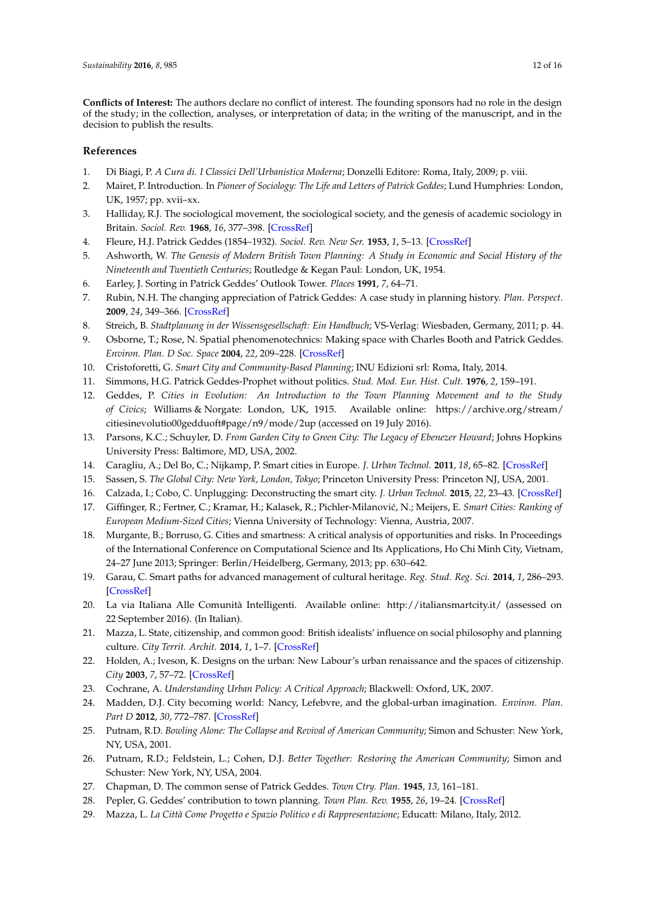**Conflicts of Interest:** The authors declare no conflict of interest. The founding sponsors had no role in the design of the study; in the collection, analyses, or interpretation of data; in the writing of the manuscript, and in the decision to publish the results.

## **References**

- <span id="page-11-0"></span>1. Di Biagi, P. *A Cura di. I Classici Dell'Urbanistica Moderna*; Donzelli Editore: Roma, Italy, 2009; p. viii.
- <span id="page-11-1"></span>2. Mairet, P. Introduction. In *Pioneer of Sociology: The Life and Letters of Patrick Geddes*; Lund Humphries: London, UK, 1957; pp. xvii–xx.
- <span id="page-11-2"></span>3. Halliday, R.J. The sociological movement, the sociological society, and the genesis of academic sociology in Britain. *Sociol. Rev.* **1968**, *16*, 377–398. [\[CrossRef\]](http://dx.doi.org/10.1111/j.1467-954X.1968.tb01304.x)
- <span id="page-11-3"></span>4. Fleure, H.J. Patrick Geddes (1854–1932). *Sociol. Rev. New Ser.* **1953**, *1*, 5–13. [\[CrossRef\]](http://dx.doi.org/10.1111/j.1467-954X.1953.tb00949.x)
- <span id="page-11-4"></span>5. Ashworth, W. *The Genesis of Modern British Town Planning: A Study in Economic and Social History of the Nineteenth and Twentieth Centuries*; Routledge & Kegan Paul: London, UK, 1954.
- <span id="page-11-5"></span>6. Earley, J. Sorting in Patrick Geddes' Outlook Tower. *Places* **1991**, *7*, 64–71.
- <span id="page-11-6"></span>7. Rubin, N.H. The changing appreciation of Patrick Geddes: A case study in planning history. *Plan. Perspect.* **2009**, *24*, 349–366. [\[CrossRef\]](http://dx.doi.org/10.1080/02665430902933986)
- <span id="page-11-7"></span>8. Streich, B. *Stadtplanung in der Wissensgesellschaft: Ein Handbuch*; VS-Verlag: Wiesbaden, Germany, 2011; p. 44.
- <span id="page-11-8"></span>9. Osborne, T.; Rose, N. Spatial phenomenotechnics: Making space with Charles Booth and Patrick Geddes. *Environ. Plan. D Soc. Space* **2004**, *22*, 209–228. [\[CrossRef\]](http://dx.doi.org/10.1068/d325t)
- <span id="page-11-9"></span>10. Cristoforetti, G. *Smart City and Community-Based Planning*; INU Edizioni srl: Roma, Italy, 2014.
- <span id="page-11-10"></span>11. Simmons, H.G. Patrick Geddes-Prophet without politics. *Stud. Mod. Eur. Hist. Cult.* **1976**, *2*, 159–191.
- <span id="page-11-11"></span>12. Geddes, P. *Cities in Evolution: An Introduction to the Town Planning Movement and to the Study of Civics*; Williams & Norgate: London, UK, 1915. Available online: [https://archive.org/stream/](https://archive.org/stream/citiesinevolutio00gedduoft#page/n9/mode/2up) [citiesinevolutio00gedduoft#page/n9/mode/2up](https://archive.org/stream/citiesinevolutio00gedduoft#page/n9/mode/2up) (accessed on 19 July 2016).
- <span id="page-11-12"></span>13. Parsons, K.C.; Schuyler, D. *From Garden City to Green City: The Legacy of Ebenezer Howard*; Johns Hopkins University Press: Baltimore, MD, USA, 2002.
- <span id="page-11-13"></span>14. Caragliu, A.; Del Bo, C.; Nijkamp, P. Smart cities in Europe. *J. Urban Technol.* **2011**, *18*, 65–82. [\[CrossRef\]](http://dx.doi.org/10.1080/10630732.2011.601117)
- <span id="page-11-14"></span>15. Sassen, S. *The Global City: New York, London, Tokyo*; Princeton University Press: Princeton NJ, USA, 2001.
- <span id="page-11-15"></span>16. Calzada, I.; Cobo, C. Unplugging: Deconstructing the smart city. *J. Urban Technol.* **2015**, *22*, 23–43. [\[CrossRef\]](http://dx.doi.org/10.1080/10630732.2014.971535)
- <span id="page-11-16"></span>17. Giffinger, R.; Fertner, C.; Kramar, H.; Kalasek, R.; Pichler-Milanovi´c, N.; Meijers, E. *Smart Cities: Ranking of European Medium-Sized Cities*; Vienna University of Technology: Vienna, Austria, 2007.
- <span id="page-11-27"></span>18. Murgante, B.; Borruso, G. Cities and smartness: A critical analysis of opportunities and risks. In Proceedings of the International Conference on Computational Science and Its Applications, Ho Chi Minh City, Vietnam, 24–27 June 2013; Springer: Berlin/Heidelberg, Germany, 2013; pp. 630–642.
- <span id="page-11-17"></span>19. Garau, C. Smart paths for advanced management of cultural heritage. *Reg. Stud. Reg. Sci.* **2014**, *1*, 286–293. [\[CrossRef\]](http://dx.doi.org/10.1080/21681376.2014.973439)
- <span id="page-11-18"></span>20. La via Italiana Alle Comunità Intelligenti. Available online: <http://italiansmartcity.it/> (assessed on 22 September 2016). (In Italian).
- <span id="page-11-19"></span>21. Mazza, L. State, citizenship, and common good: British idealists' influence on social philosophy and planning culture. *City Territ. Archit.* **2014**, *1*, 1–7. [\[CrossRef\]](http://dx.doi.org/10.1186/2195-2701-1-6)
- <span id="page-11-20"></span>22. Holden, A.; Iveson, K. Designs on the urban: New Labour's urban renaissance and the spaces of citizenship. *City* **2003**, *7*, 57–72. [\[CrossRef\]](http://dx.doi.org/10.1080/13604810302221)
- <span id="page-11-21"></span>23. Cochrane, A. *Understanding Urban Policy: A Critical Approach*; Blackwell: Oxford, UK, 2007.
- <span id="page-11-22"></span>24. Madden, D.J. City becoming world: Nancy, Lefebvre, and the global-urban imagination. *Environ. Plan. Part D* **2012**, *30*, 772–787. [\[CrossRef\]](http://dx.doi.org/10.1068/d17310)
- 25. Putnam, R.D. *Bowling Alone: The Collapse and Revival of American Community*; Simon and Schuster: New York, NY, USA, 2001.
- <span id="page-11-23"></span>26. Putnam, R.D.; Feldstein, L.; Cohen, D.J. *Better Together: Restoring the American Community*; Simon and Schuster: New York, NY, USA, 2004.
- <span id="page-11-24"></span>27. Chapman, D. The common sense of Patrick Geddes. *Town Ctry. Plan.* **1945**, *13*, 161–181.
- <span id="page-11-25"></span>28. Pepler, G. Geddes' contribution to town planning. *Town Plan. Rev.* **1955**, *26*, 19–24. [\[CrossRef\]](http://dx.doi.org/10.3828/tpr.26.1.u02775g40240m504)
- <span id="page-11-26"></span>29. Mazza, L. *La Città Come Progetto e Spazio Politico e di Rappresentazione*; Educatt: Milano, Italy, 2012.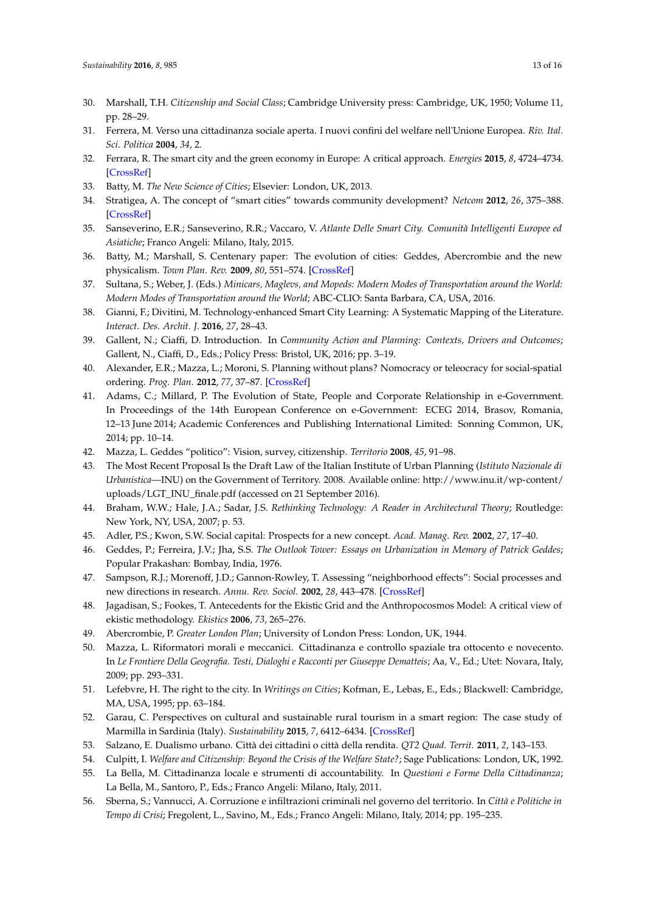- <span id="page-12-0"></span>30. Marshall, T.H. *Citizenship and Social Class*; Cambridge University press: Cambridge, UK, 1950; Volume 11, pp. 28–29.
- <span id="page-12-1"></span>31. Ferrera, M. Verso una cittadinanza sociale aperta. I nuovi confini del welfare nell'Unione Europea. *Riv. Ital. Sci. Politica* **2004**, *34*, 2.
- <span id="page-12-2"></span>32. Ferrara, R. The smart city and the green economy in Europe: A critical approach. *Energies* **2015**, *8*, 4724–4734. [\[CrossRef\]](http://dx.doi.org/10.3390/en8064724)
- <span id="page-12-3"></span>33. Batty, M. *The New Science of Cities*; Elsevier: London, UK, 2013.
- <span id="page-12-4"></span>34. Stratigea, A. The concept of "smart cities" towards community development? *Netcom* **2012**, *26*, 375–388. [\[CrossRef\]](http://dx.doi.org/10.4000/netcom.1105)
- <span id="page-12-5"></span>35. Sanseverino, E.R.; Sanseverino, R.R.; Vaccaro, V. *Atlante Delle Smart City. Comunità Intelligenti Europee ed Asiatiche*; Franco Angeli: Milano, Italy, 2015.
- <span id="page-12-6"></span>36. Batty, M.; Marshall, S. Centenary paper: The evolution of cities: Geddes, Abercrombie and the new physicalism. *Town Plan. Rev.* **2009**, *80*, 551–574. [\[CrossRef\]](http://dx.doi.org/10.3828/tpr.2009.12)
- <span id="page-12-7"></span>37. Sultana, S.; Weber, J. (Eds.) *Minicars, Maglevs, and Mopeds: Modern Modes of Transportation around the World: Modern Modes of Transportation around the World*; ABC-CLIO: Santa Barbara, CA, USA, 2016.
- <span id="page-12-8"></span>38. Gianni, F.; Divitini, M. Technology-enhanced Smart City Learning: A Systematic Mapping of the Literature. *Interact. Des. Archit. J.* **2016**, *27*, 28–43.
- <span id="page-12-9"></span>39. Gallent, N.; Ciaffi, D. Introduction. In *Community Action and Planning: Contexts, Drivers and Outcomes*; Gallent, N., Ciaffi, D., Eds.; Policy Press: Bristol, UK, 2016; pp. 3–19.
- <span id="page-12-10"></span>40. Alexander, E.R.; Mazza, L.; Moroni, S. Planning without plans? Nomocracy or teleocracy for social-spatial ordering. *Prog. Plan.* **2012**, *77*, 37–87. [\[CrossRef\]](http://dx.doi.org/10.1016/j.progress.2011.12.001)
- <span id="page-12-11"></span>41. Adams, C.; Millard, P. The Evolution of State, People and Corporate Relationship in e-Government. In Proceedings of the 14th European Conference on e-Government: ECEG 2014, Brasov, Romania, 12–13 June 2014; Academic Conferences and Publishing International Limited: Sonning Common, UK, 2014; pp. 10–14.
- <span id="page-12-12"></span>42. Mazza, L. Geddes "politico": Vision, survey, citizenship. *Territorio* **2008**, *45*, 91–98.
- <span id="page-12-13"></span>43. The Most Recent Proposal Is the Draft Law of the Italian Institute of Urban Planning (*Istituto Nazionale di Urbanistica*—INU) on the Government of Territory. 2008. Available online: [http://www.inu.it/wp-content/](http://www.inu.it/wp-content/uploads/LGT_INU_finale.pdf) [uploads/LGT\\_INU\\_finale.pdf](http://www.inu.it/wp-content/uploads/LGT_INU_finale.pdf) (accessed on 21 September 2016).
- <span id="page-12-14"></span>44. Braham, W.W.; Hale, J.A.; Sadar, J.S. *Rethinking Technology: A Reader in Architectural Theory*; Routledge: New York, NY, USA, 2007; p. 53.
- <span id="page-12-15"></span>45. Adler, P.S.; Kwon, S.W. Social capital: Prospects for a new concept. *Acad. Manag. Rev.* **2002**, *27*, 17–40.
- <span id="page-12-16"></span>46. Geddes, P.; Ferreira, J.V.; Jha, S.S. *The Outlook Tower: Essays on Urbanization in Memory of Patrick Geddes*; Popular Prakashan: Bombay, India, 1976.
- <span id="page-12-17"></span>47. Sampson, R.J.; Morenoff, J.D.; Gannon-Rowley, T. Assessing "neighborhood effects": Social processes and new directions in research. *Annu. Rev. Sociol.* **2002**, *28*, 443–478. [\[CrossRef\]](http://dx.doi.org/10.1146/annurev.soc.28.110601.141114)
- <span id="page-12-18"></span>48. Jagadisan, S.; Fookes, T. Antecedents for the Ekistic Grid and the Anthropocosmos Model: A critical view of ekistic methodology. *Ekistics* **2006**, *73*, 265–276.
- <span id="page-12-19"></span>49. Abercrombie, P. *Greater London Plan*; University of London Press: London, UK, 1944.
- <span id="page-12-20"></span>50. Mazza, L. Riformatori morali e meccanici. Cittadinanza e controllo spaziale tra ottocento e novecento. In *Le Frontiere Della Geografia. Testi, Dialoghi e Racconti per Giuseppe Dematteis*; Aa, V., Ed.; Utet: Novara, Italy, 2009; pp. 293–331.
- <span id="page-12-21"></span>51. Lefebvre, H. The right to the city. In *Writings on Cities*; Kofman, E., Lebas, E., Eds.; Blackwell: Cambridge, MA, USA, 1995; pp. 63–184.
- <span id="page-12-22"></span>52. Garau, C. Perspectives on cultural and sustainable rural tourism in a smart region: The case study of Marmilla in Sardinia (Italy). *Sustainability* **2015**, *7*, 6412–6434. [\[CrossRef\]](http://dx.doi.org/10.3390/su7066412)
- <span id="page-12-23"></span>53. Salzano, E. Dualismo urbano. Città dei cittadini o città della rendita. *QT2 Quad. Territ.* **2011**, *2*, 143–153.
- <span id="page-12-24"></span>54. Culpitt, I. *Welfare and Citizenship: Beyond the Crisis of the Welfare State?*; Sage Publications: London, UK, 1992.
- <span id="page-12-25"></span>55. La Bella, M. Cittadinanza locale e strumenti di accountability. In *Questioni e Forme Della Cittadinanza*; La Bella, M., Santoro, P., Eds.; Franco Angeli: Milano, Italy, 2011.
- <span id="page-12-26"></span>56. Sberna, S.; Vannucci, A. Corruzione e infiltrazioni criminali nel governo del territorio. In *Città e Politiche in Tempo di Crisi*; Fregolent, L., Savino, M., Eds.; Franco Angeli: Milano, Italy, 2014; pp. 195–235.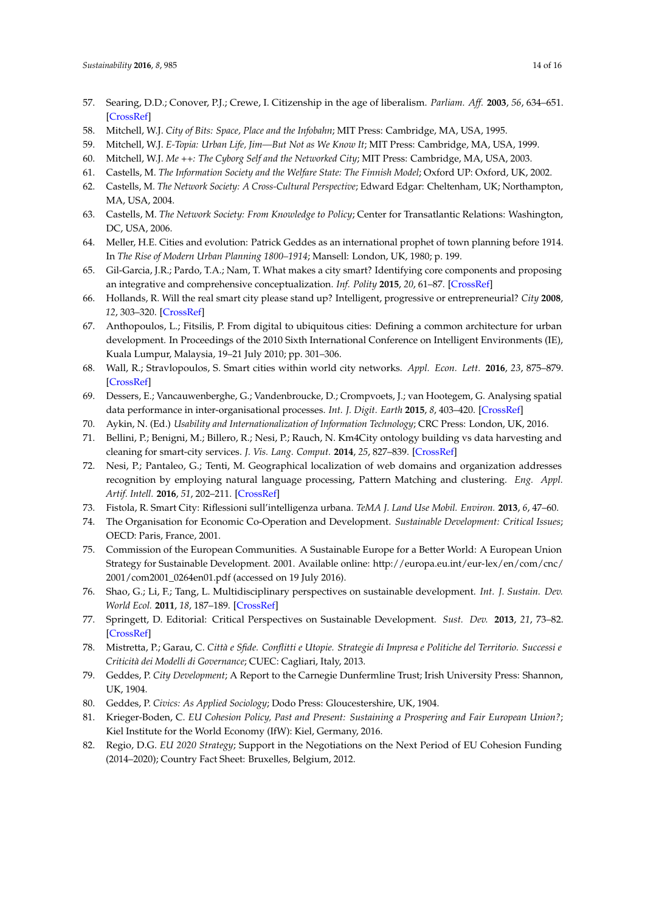- <span id="page-13-0"></span>57. Searing, D.D.; Conover, P.J.; Crewe, I. Citizenship in the age of liberalism. *Parliam. Aff.* **2003**, *56*, 634–651. [\[CrossRef\]](http://dx.doi.org/10.1093/pa/gsg107)
- <span id="page-13-1"></span>58. Mitchell, W.J. *City of Bits: Space, Place and the Infobahn*; MIT Press: Cambridge, MA, USA, 1995.
- 59. Mitchell, W.J. *E-Topia: Urban Life, Jim—But Not as We Know It*; MIT Press: Cambridge, MA, USA, 1999.
- <span id="page-13-2"></span>60. Mitchell, W.J. *Me ++: The Cyborg Self and the Networked City*; MIT Press: Cambridge, MA, USA, 2003.
- <span id="page-13-3"></span>61. Castells, M. *The Information Society and the Welfare State: The Finnish Model*; Oxford UP: Oxford, UK, 2002.
- 62. Castells, M. *The Network Society: A Cross-Cultural Perspective*; Edward Edgar: Cheltenham, UK; Northampton, MA, USA, 2004.
- <span id="page-13-4"></span>63. Castells, M. *The Network Society: From Knowledge to Policy*; Center for Transatlantic Relations: Washington, DC, USA, 2006.
- <span id="page-13-5"></span>64. Meller, H.E. Cities and evolution: Patrick Geddes as an international prophet of town planning before 1914. In *The Rise of Modern Urban Planning 1800–1914*; Mansell: London, UK, 1980; p. 199.
- <span id="page-13-6"></span>65. Gil-Garcia, J.R.; Pardo, T.A.; Nam, T. What makes a city smart? Identifying core components and proposing an integrative and comprehensive conceptualization. *Inf. Polity* **2015**, *20*, 61–87. [\[CrossRef\]](http://dx.doi.org/10.3233/IP-150354)
- <span id="page-13-7"></span>66. Hollands, R. Will the real smart city please stand up? Intelligent, progressive or entrepreneurial? *City* **2008**, *12*, 303–320. [\[CrossRef\]](http://dx.doi.org/10.1080/13604810802479126)
- 67. Anthopoulos, L.; Fitsilis, P. From digital to ubiquitous cities: Defining a common architecture for urban development. In Proceedings of the 2010 Sixth International Conference on Intelligent Environments (IE), Kuala Lumpur, Malaysia, 19–21 July 2010; pp. 301–306.
- <span id="page-13-8"></span>68. Wall, R.; Stravlopoulos, S. Smart cities within world city networks. *Appl. Econ. Lett.* **2016**, *23*, 875–879. [\[CrossRef\]](http://dx.doi.org/10.1080/13504851.2015.1117038)
- <span id="page-13-9"></span>69. Dessers, E.; Vancauwenberghe, G.; Vandenbroucke, D.; Crompvoets, J.; van Hootegem, G. Analysing spatial data performance in inter-organisational processes. *Int. J. Digit. Earth* **2015**, *8*, 403–420. [\[CrossRef\]](http://dx.doi.org/10.1080/17538947.2014.945499)
- <span id="page-13-10"></span>70. Aykin, N. (Ed.) *Usability and Internationalization of Information Technology*; CRC Press: London, UK, 2016.
- <span id="page-13-11"></span>71. Bellini, P.; Benigni, M.; Billero, R.; Nesi, P.; Rauch, N. Km4City ontology building vs data harvesting and cleaning for smart-city services. *J. Vis. Lang. Comput.* **2014**, *25*, 827–839. [\[CrossRef\]](http://dx.doi.org/10.1016/j.jvlc.2014.10.023)
- <span id="page-13-12"></span>72. Nesi, P.; Pantaleo, G.; Tenti, M. Geographical localization of web domains and organization addresses recognition by employing natural language processing, Pattern Matching and clustering. *Eng. Appl. Artif. Intell.* **2016**, *51*, 202–211. [\[CrossRef\]](http://dx.doi.org/10.1016/j.engappai.2016.01.011)
- <span id="page-13-13"></span>73. Fistola, R. Smart City: Riflessioni sull'intelligenza urbana. *TeMA J. Land Use Mobil. Environ.* **2013**, *6*, 47–60.
- <span id="page-13-14"></span>74. The Organisation for Economic Co-Operation and Development. *Sustainable Development: Critical Issues*; OECD: Paris, France, 2001.
- 75. Commission of the European Communities. A Sustainable Europe for a Better World: A European Union Strategy for Sustainable Development. 2001. Available online: [http://europa.eu.int/eur-lex/en/com/cnc/](http://europa.eu.int/eur-lex/en/com/cnc/2001/com2001_0264en01.pdf) [2001/com2001\\_0264en01.pdf](http://europa.eu.int/eur-lex/en/com/cnc/2001/com2001_0264en01.pdf) (accessed on 19 July 2016).
- 76. Shao, G.; Li, F.; Tang, L. Multidisciplinary perspectives on sustainable development. *Int. J. Sustain. Dev. World Ecol.* **2011**, *18*, 187–189. [\[CrossRef\]](http://dx.doi.org/10.1080/13504509.2011.572304)
- <span id="page-13-15"></span>77. Springett, D. Editorial: Critical Perspectives on Sustainable Development. *Sust. Dev.* **2013**, *21*, 73–82. [\[CrossRef\]](http://dx.doi.org/10.1002/sd.1556)
- <span id="page-13-16"></span>78. Mistretta, P.; Garau, C. *Città e Sfide. Conflitti e Utopie. Strategie di Impresa e Politiche del Territorio. Successi e Criticità dei Modelli di Governance*; CUEC: Cagliari, Italy, 2013.
- <span id="page-13-17"></span>79. Geddes, P. *City Development*; A Report to the Carnegie Dunfermline Trust; Irish University Press: Shannon, UK, 1904.
- <span id="page-13-18"></span>80. Geddes, P. *Civics: As Applied Sociology*; Dodo Press: Gloucestershire, UK, 1904.
- <span id="page-13-19"></span>81. Krieger-Boden, C. *EU Cohesion Policy, Past and Present: Sustaining a Prospering and Fair European Union?*; Kiel Institute for the World Economy (IfW): Kiel, Germany, 2016.
- 82. Regio, D.G. *EU 2020 Strategy*; Support in the Negotiations on the Next Period of EU Cohesion Funding (2014–2020); Country Fact Sheet: Bruxelles, Belgium, 2012.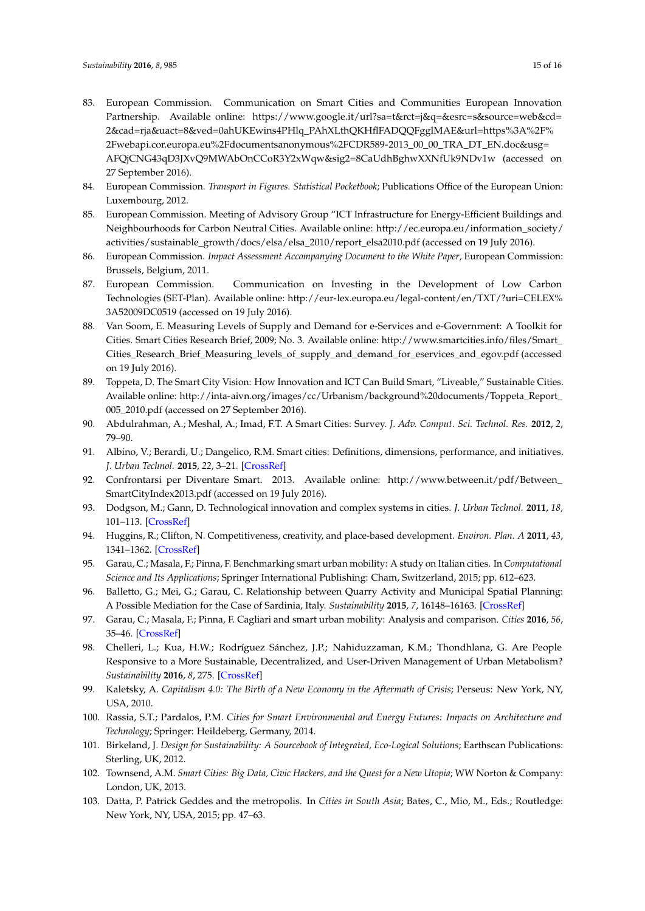- 83. European Commission. Communication on Smart Cities and Communities European Innovation Partnership. Available online: [https://www.google.it/url?sa=t&rct=j&q=&esrc=s&source=web&cd=](https://www.google.it/url?sa=t&rct=j&q=&esrc=s&source=web&cd=2&cad=rja&uact=8&ved=0ahUKEwins4PHlq_PAhXLthQKHflFADQQFgglMAE&url=https%3A%2F%2Fwebapi.cor.europa.eu%2Fdocumentsanonymous%2FCDR589-2013_00_00_TRA_DT_EN.doc&usg=AFQjCNG43qD3JXvQ9MWAbOnCCoR3Y2xWqw&sig2=8CaUdhBghwXXNfUk9NDv1w) [2&cad=rja&uact=8&ved=0ahUKEwins4PHlq\\_PAhXLthQKHflFADQQFgglMAE&url=https%3A%2F%](https://www.google.it/url?sa=t&rct=j&q=&esrc=s&source=web&cd=2&cad=rja&uact=8&ved=0ahUKEwins4PHlq_PAhXLthQKHflFADQQFgglMAE&url=https%3A%2F%2Fwebapi.cor.europa.eu%2Fdocumentsanonymous%2FCDR589-2013_00_00_TRA_DT_EN.doc&usg=AFQjCNG43qD3JXvQ9MWAbOnCCoR3Y2xWqw&sig2=8CaUdhBghwXXNfUk9NDv1w) [2Fwebapi.cor.europa.eu%2Fdocumentsanonymous%2FCDR589-2013\\_00\\_00\\_TRA\\_DT\\_EN.doc&usg=](https://www.google.it/url?sa=t&rct=j&q=&esrc=s&source=web&cd=2&cad=rja&uact=8&ved=0ahUKEwins4PHlq_PAhXLthQKHflFADQQFgglMAE&url=https%3A%2F%2Fwebapi.cor.europa.eu%2Fdocumentsanonymous%2FCDR589-2013_00_00_TRA_DT_EN.doc&usg=AFQjCNG43qD3JXvQ9MWAbOnCCoR3Y2xWqw&sig2=8CaUdhBghwXXNfUk9NDv1w) [AFQjCNG43qD3JXvQ9MWAbOnCCoR3Y2xWqw&sig2=8CaUdhBghwXXNfUk9NDv1w](https://www.google.it/url?sa=t&rct=j&q=&esrc=s&source=web&cd=2&cad=rja&uact=8&ved=0ahUKEwins4PHlq_PAhXLthQKHflFADQQFgglMAE&url=https%3A%2F%2Fwebapi.cor.europa.eu%2Fdocumentsanonymous%2FCDR589-2013_00_00_TRA_DT_EN.doc&usg=AFQjCNG43qD3JXvQ9MWAbOnCCoR3Y2xWqw&sig2=8CaUdhBghwXXNfUk9NDv1w) (accessed on 27 September 2016).
- 84. European Commission. *Transport in Figures. Statistical Pocketbook*; Publications Office of the European Union: Luxembourg, 2012.
- 85. European Commission. Meeting of Advisory Group "ICT Infrastructure for Energy-Efficient Buildings and Neighbourhoods for Carbon Neutral Cities. Available online: [http://ec.europa.eu/information\\_society/](http://ec.europa.eu/information_society/activities/sustainable_growth/docs/elsa/elsa_2010/report_elsa2010.pdf) [activities/sustainable\\_growth/docs/elsa/elsa\\_2010/report\\_elsa2010.pdf](http://ec.europa.eu/information_society/activities/sustainable_growth/docs/elsa/elsa_2010/report_elsa2010.pdf) (accessed on 19 July 2016).
- 86. European Commission. *Impact Assessment Accompanying Document to the White Paper*, European Commission: Brussels, Belgium, 2011.
- <span id="page-14-0"></span>87. European Commission. Communication on Investing in the Development of Low Carbon Technologies (SET-Plan). Available online: [http://eur-lex.europa.eu/legal-content/en/TXT/?uri=CELEX%](http://eur-lex.europa.eu/legal-content/en/TXT/?uri=CELEX%3A52009DC0519) [3A52009DC0519](http://eur-lex.europa.eu/legal-content/en/TXT/?uri=CELEX%3A52009DC0519) (accessed on 19 July 2016).
- <span id="page-14-1"></span>88. Van Soom, E. Measuring Levels of Supply and Demand for e-Services and e-Government: A Toolkit for Cities. Smart Cities Research Brief, 2009; No. 3. Available online: [http://www.smartcities.info/files/Smart\\_](http://www.smartcities.info/files/Smart_Cities_Research_Brief_Measuring_levels_of_supply_and_demand_for_eservices_and_egov.pdf) [Cities\\_Research\\_Brief\\_Measuring\\_levels\\_of\\_supply\\_and\\_demand\\_for\\_eservices\\_and\\_egov.pdf](http://www.smartcities.info/files/Smart_Cities_Research_Brief_Measuring_levels_of_supply_and_demand_for_eservices_and_egov.pdf) (accessed on 19 July 2016).
- 89. Toppeta, D. The Smart City Vision: How Innovation and ICT Can Build Smart, "Liveable," Sustainable Cities. Available online: [http://inta-aivn.org/images/cc/Urbanism/background%20documents/Toppeta\\_Report\\_](http://inta-aivn.org/images/cc/Urbanism/background%20documents/Toppeta_Report_005_2010.pdf) [005\\_2010.pdf](http://inta-aivn.org/images/cc/Urbanism/background%20documents/Toppeta_Report_005_2010.pdf) (accessed on 27 September 2016).
- 90. Abdulrahman, A.; Meshal, A.; Imad, F.T. A Smart Cities: Survey. *J. Adv. Comput. Sci. Technol. Res.* **2012**, *2*, 79–90.
- 91. Albino, V.; Berardi, U.; Dangelico, R.M. Smart cities: Definitions, dimensions, performance, and initiatives. *J. Urban Technol.* **2015**, *22*, 3–21. [\[CrossRef\]](http://dx.doi.org/10.1080/10630732.2014.942092)
- 92. Confrontarsi per Diventare Smart. 2013. Available online: [http://www.between.it/pdf/Between\\_](http://www.between.it/pdf/Between_SmartCityIndex2013.pdf) [SmartCityIndex2013.pdf](http://www.between.it/pdf/Between_SmartCityIndex2013.pdf) (accessed on 19 July 2016).
- 93. Dodgson, M.; Gann, D. Technological innovation and complex systems in cities. *J. Urban Technol.* **2011**, *18*, 101–113. [\[CrossRef\]](http://dx.doi.org/10.1080/10630732.2011.615570)
- 94. Huggins, R.; Clifton, N. Competitiveness, creativity, and place-based development. *Environ. Plan. A* **2011**, *43*, 1341–1362. [\[CrossRef\]](http://dx.doi.org/10.1068/a43559)
- 95. Garau, C.; Masala, F.; Pinna, F. Benchmarking smart urban mobility: A study on Italian cities. In *Computational Science and Its Applications*; Springer International Publishing: Cham, Switzerland, 2015; pp. 612–623.
- 96. Balletto, G.; Mei, G.; Garau, C. Relationship between Quarry Activity and Municipal Spatial Planning: A Possible Mediation for the Case of Sardinia, Italy. *Sustainability* **2015**, *7*, 16148–16163. [\[CrossRef\]](http://dx.doi.org/10.3390/su71215801)
- <span id="page-14-2"></span>97. Garau, C.; Masala, F.; Pinna, F. Cagliari and smart urban mobility: Analysis and comparison. *Cities* **2016**, *56*, 35–46. [\[CrossRef\]](http://dx.doi.org/10.1016/j.cities.2016.02.012)
- <span id="page-14-3"></span>98. Chelleri, L.; Kua, H.W.; Rodríguez Sánchez, J.P.; Nahiduzzaman, K.M.; Thondhlana, G. Are People Responsive to a More Sustainable, Decentralized, and User-Driven Management of Urban Metabolism? *Sustainability* **2016**, *8*, 275. [\[CrossRef\]](http://dx.doi.org/10.3390/su8030275)
- <span id="page-14-4"></span>99. Kaletsky, A. *Capitalism 4.0: The Birth of a New Economy in the Aftermath of Crisis*; Perseus: New York, NY, USA, 2010.
- <span id="page-14-5"></span>100. Rassia, S.T.; Pardalos, P.M. *Cities for Smart Environmental and Energy Futures: Impacts on Architecture and Technology*; Springer: Heildeberg, Germany, 2014.
- <span id="page-14-6"></span>101. Birkeland, J. *Design for Sustainability: A Sourcebook of Integrated, Eco-Logical Solutions*; Earthscan Publications: Sterling, UK, 2012.
- <span id="page-14-7"></span>102. Townsend, A.M. *Smart Cities: Big Data, Civic Hackers, and the Quest for a New Utopia*; WW Norton & Company: London, UK, 2013.
- <span id="page-14-8"></span>103. Datta, P. Patrick Geddes and the metropolis. In *Cities in South Asia*; Bates, C., Mio, M., Eds.; Routledge: New York, NY, USA, 2015; pp. 47–63.